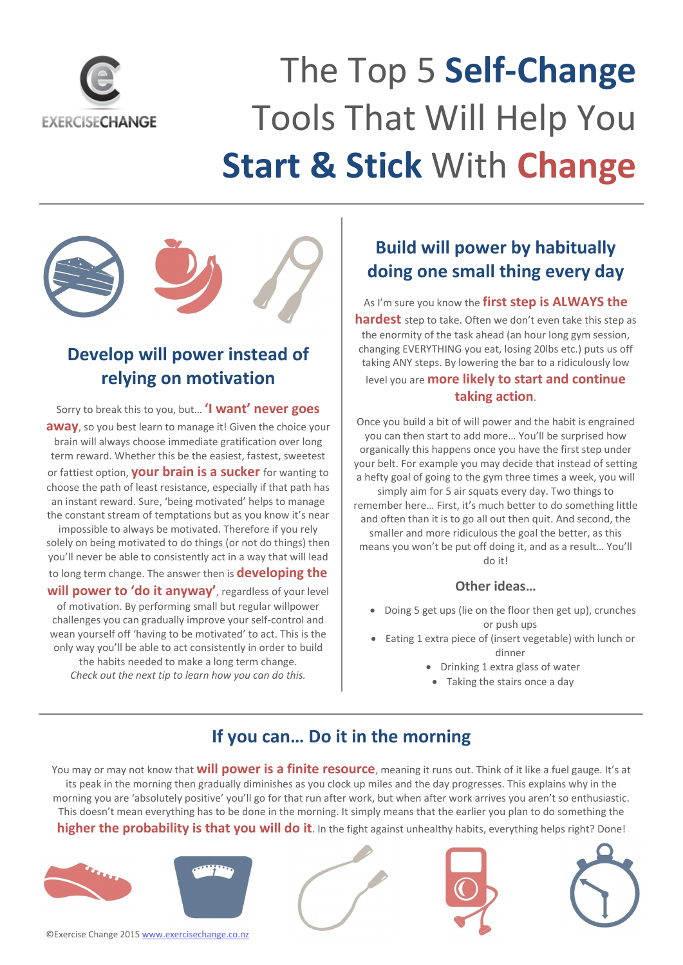

 $\overline{a}$ 

# The Top 5 **Self-Change** Tools That Will Help You **Start & Stick** With **Change**



Sorry to break this to you, but… **'I want' never goes away**, so you best learn to manage it! Given the choice your brain will always choose immediate gratification over long term reward. Whether this be the easiest, fastest, sweetest or fattiest option, **your brain is a sucker** for wanting to choose the path of least resistance, especially if that path has an instant reward. Sure, 'being motivated' helps to manage the constant stream of temptations but as you know it's near impossible to always be motivated. Therefore if you rely solely on being motivated to do things (or not do things) then you'll never be able to consistently act in a way that will lead to long term change. The answer then is **developing the will power to 'do it anyway'**, regardless of your level of motivation. By performing small but regular willpower challenges you can gradually improve your self-control and wean yourself off 'having to be motivated' to act. This is the only way you'll be able to act consistently in order to build the habits needed to make a long term change.

- Doing 5 get ups (lie on the floor then get up), crunches or push ups
- Eating 1 extra piece of (insert vegetable) with lunch or dinner
	- Drinking 1 extra glass of water
	- Taking the stairs once a day

*Check out the next tip to learn how you can do this.*

## **Build will power by habitually doing one small thing every day**

As I'm sure you know the **first step is ALWAYS the hardest** step to take. Often we don't even take this step as the enormity of the task ahead (an hour long gym session, changing EVERYTHING you eat, losing 20lbs etc.) puts us off taking ANY steps. By lowering the bar to a ridiculously low level you are **more likely to start and continue taking action**.

Once you build a bit of will power and the habit is engrained you can then start to add more… You'll be surprised how organically this happens once you have the first step under your belt. For example you may decide that instead of setting a hefty goal of going to the gym three times a week, you will simply aim for 5 air squats every day. Two things to remember here… First, it's much better to do something little and often than it is to go all out then quit. And second, the smaller and more ridiculous the goal the better, as this means you won't be put off doing it, and as a result… You'll do it!

#### **Other ideas…**

#### **If you can… Do it in the morning**

You may or may not know that **will power is a finite resource**, meaning it runs out. Think of it like a fuel gauge. It's at its peak in the morning then gradually diminishes as you clock up miles and the day progresses. This explains why in the morning you are 'absolutely positive' you'll go for that run after work, but when after work arrives you aren't so enthusiastic. This doesn't mean everything has to be done in the morning. It simply means that the earlier you plan to do something the **higher the probability is that you will do it**. In the fight against unhealthy habits, everything helps right? Done!